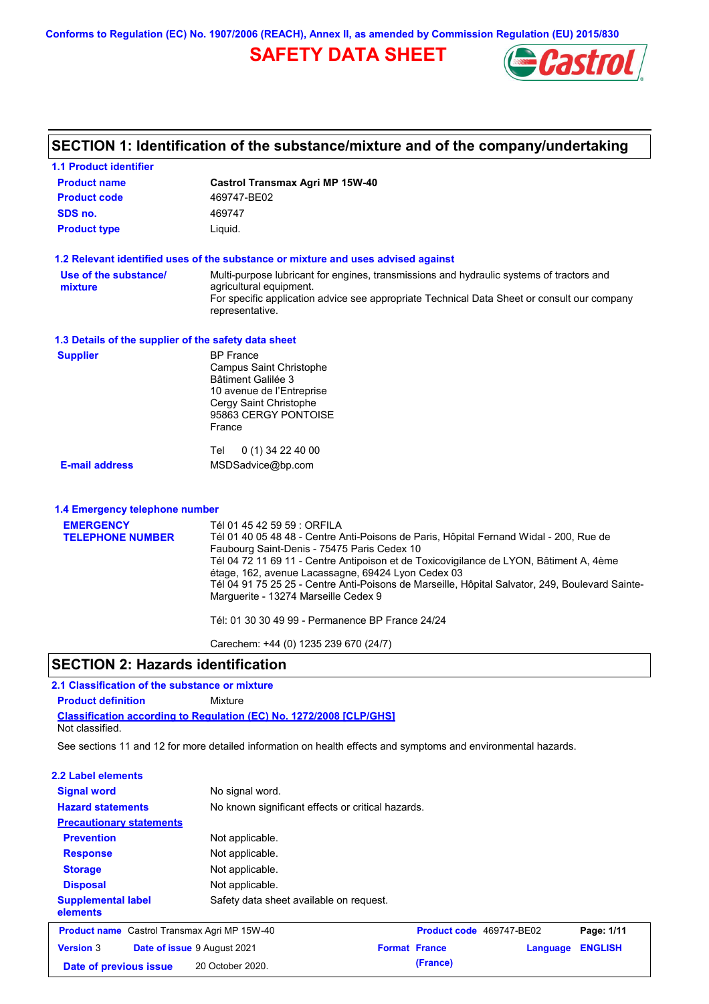**Conforms to Regulation (EC) No. 1907/2006 (REACH), Annex II, as amended by Commission Regulation (EU) 2015/830**

# **SAFETY DATA SHEET**



# **SECTION 1: Identification of the substance/mixture and of the company/undertaking**

| <b>1.1 Product identifier</b>                        |                                                                                                                                                                                                                                                                                                                                                                                                                                  |
|------------------------------------------------------|----------------------------------------------------------------------------------------------------------------------------------------------------------------------------------------------------------------------------------------------------------------------------------------------------------------------------------------------------------------------------------------------------------------------------------|
| <b>Product name</b>                                  | <b>Castrol Transmax Agri MP 15W-40</b>                                                                                                                                                                                                                                                                                                                                                                                           |
| <b>Product code</b>                                  | 469747-BE02                                                                                                                                                                                                                                                                                                                                                                                                                      |
| SDS no.                                              | 469747                                                                                                                                                                                                                                                                                                                                                                                                                           |
| <b>Product type</b>                                  | Liquid.                                                                                                                                                                                                                                                                                                                                                                                                                          |
|                                                      | 1.2 Relevant identified uses of the substance or mixture and uses advised against                                                                                                                                                                                                                                                                                                                                                |
| Use of the substance/<br>mixture                     | Multi-purpose lubricant for engines, transmissions and hydraulic systems of tractors and<br>agricultural equipment.<br>For specific application advice see appropriate Technical Data Sheet or consult our company<br>representative.                                                                                                                                                                                            |
| 1.3 Details of the supplier of the safety data sheet |                                                                                                                                                                                                                                                                                                                                                                                                                                  |
| <b>Supplier</b>                                      | <b>BP</b> France<br>Campus Saint Christophe<br>Bâtiment Galilée 3<br>10 avenue de l'Entreprise<br>Cergy Saint Christophe<br>95863 CERGY PONTOISE<br>France                                                                                                                                                                                                                                                                       |
|                                                      | Tel<br>0 (1) 34 22 40 00                                                                                                                                                                                                                                                                                                                                                                                                         |
| <b>E-mail address</b>                                | MSDSadvice@bp.com                                                                                                                                                                                                                                                                                                                                                                                                                |
| 1.4 Emergency telephone number                       |                                                                                                                                                                                                                                                                                                                                                                                                                                  |
| <b>EMERGENCY</b>                                     | Tél 01 45 42 59 59 : ORFILA                                                                                                                                                                                                                                                                                                                                                                                                      |
| <b>TELEPHONE NUMBER</b>                              | Tél 01 40 05 48 48 - Centre Anti-Poisons de Paris, Hôpital Fernand Widal - 200, Rue de<br>Faubourg Saint-Denis - 75475 Paris Cedex 10<br>Tél 04 72 11 69 11 - Centre Antipoison et de Toxicovigilance de LYON, Bâtiment A, 4ème<br>étage, 162, avenue Lacassagne, 69424 Lyon Cedex 03<br>Tél 04 91 75 25 25 - Centre Anti-Poisons de Marseille, Hôpital Salvator, 249, Boulevard Sainte-<br>Marguerite - 13274 Marseille Cedex 9 |
|                                                      | Tél: 01 30 30 49 99 - Permanence BP France 24/24                                                                                                                                                                                                                                                                                                                                                                                 |
|                                                      | Carechem: +44 (0) 1235 239 670 (24/7)                                                                                                                                                                                                                                                                                                                                                                                            |
| <b>SECTION 2: Hazards identification</b>             |                                                                                                                                                                                                                                                                                                                                                                                                                                  |
| 2.1 Classification of the substance or mixture       |                                                                                                                                                                                                                                                                                                                                                                                                                                  |
| <b>Product definition</b>                            | Mixture                                                                                                                                                                                                                                                                                                                                                                                                                          |
| Not classified.                                      | <b>Classification according to Regulation (EC) No. 1272/2008 [CLP/GHS]</b>                                                                                                                                                                                                                                                                                                                                                       |
|                                                      | See sections 11 and 12 for more detailed information on health effects and symptoms and environmental hazards.                                                                                                                                                                                                                                                                                                                   |

| 2.2 Label elements                                  |                                                   |                      |                          |          |                |
|-----------------------------------------------------|---------------------------------------------------|----------------------|--------------------------|----------|----------------|
| <b>Signal word</b>                                  | No signal word.                                   |                      |                          |          |                |
| <b>Hazard statements</b>                            | No known significant effects or critical hazards. |                      |                          |          |                |
| <b>Precautionary statements</b>                     |                                                   |                      |                          |          |                |
| <b>Prevention</b>                                   | Not applicable.                                   |                      |                          |          |                |
| <b>Response</b>                                     | Not applicable.                                   |                      |                          |          |                |
| <b>Storage</b>                                      | Not applicable.                                   |                      |                          |          |                |
| <b>Disposal</b>                                     | Not applicable.                                   |                      |                          |          |                |
| <b>Supplemental label</b><br>elements               | Safety data sheet available on request.           |                      |                          |          |                |
| <b>Product name</b> Castrol Transmax Agri MP 15W-40 |                                                   |                      | Product code 469747-BE02 |          | Page: 1/11     |
| <b>Version 3</b><br>Date of issue 9 August 2021     |                                                   | <b>Format France</b> |                          | Language | <b>ENGLISH</b> |
| Date of previous issue                              | 20 October 2020.                                  |                      | (France)                 |          |                |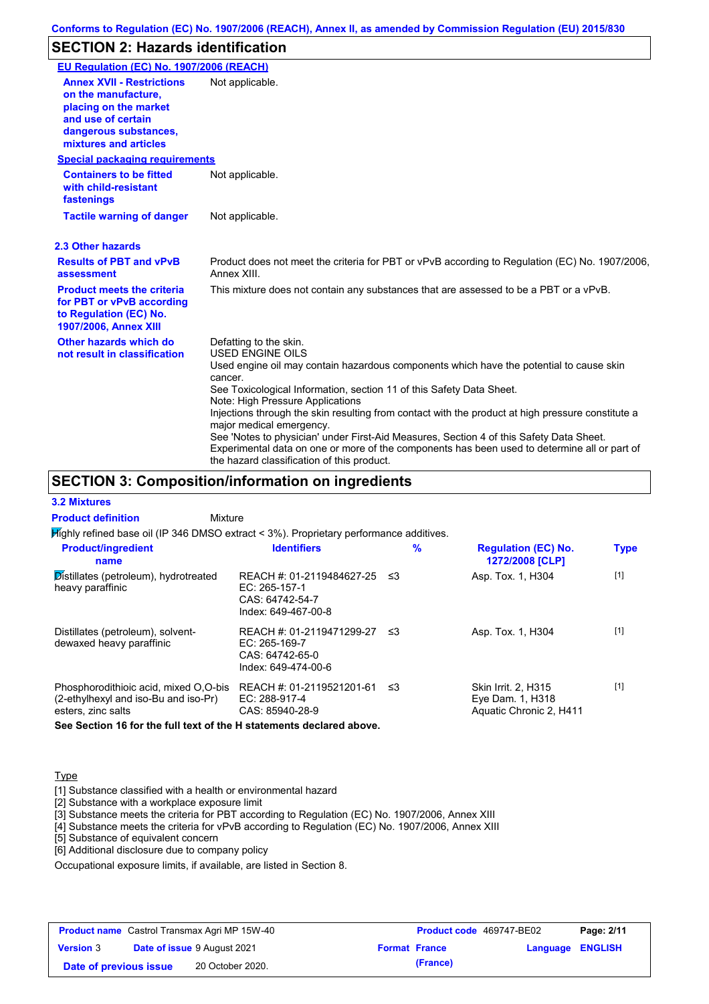### **SECTION 2: Hazards identification**

| EU Regulation (EC) No. 1907/2006 (REACH)                                                                                                                 |                                                                                                                                                                                                                                                                                                                                                                                                                                                                                                                                                                                                                                               |
|----------------------------------------------------------------------------------------------------------------------------------------------------------|-----------------------------------------------------------------------------------------------------------------------------------------------------------------------------------------------------------------------------------------------------------------------------------------------------------------------------------------------------------------------------------------------------------------------------------------------------------------------------------------------------------------------------------------------------------------------------------------------------------------------------------------------|
| <b>Annex XVII - Restrictions</b><br>on the manufacture.<br>placing on the market<br>and use of certain<br>dangerous substances,<br>mixtures and articles | Not applicable.                                                                                                                                                                                                                                                                                                                                                                                                                                                                                                                                                                                                                               |
| <b>Special packaging requirements</b>                                                                                                                    |                                                                                                                                                                                                                                                                                                                                                                                                                                                                                                                                                                                                                                               |
| <b>Containers to be fitted</b><br>with child-resistant<br>fastenings                                                                                     | Not applicable.                                                                                                                                                                                                                                                                                                                                                                                                                                                                                                                                                                                                                               |
| <b>Tactile warning of danger</b>                                                                                                                         | Not applicable.                                                                                                                                                                                                                                                                                                                                                                                                                                                                                                                                                                                                                               |
| 2.3 Other hazards                                                                                                                                        |                                                                                                                                                                                                                                                                                                                                                                                                                                                                                                                                                                                                                                               |
| <b>Results of PBT and vPvB</b><br>assessment                                                                                                             | Product does not meet the criteria for PBT or vPvB according to Regulation (EC) No. 1907/2006,<br>Annex XIII.                                                                                                                                                                                                                                                                                                                                                                                                                                                                                                                                 |
| <b>Product meets the criteria</b><br>for PBT or vPvB according<br>to Regulation (EC) No.<br>1907/2006, Annex XIII                                        | This mixture does not contain any substances that are assessed to be a PBT or a vPvB.                                                                                                                                                                                                                                                                                                                                                                                                                                                                                                                                                         |
| Other hazards which do<br>not result in classification                                                                                                   | Defatting to the skin.<br><b>USED ENGINE OILS</b><br>Used engine oil may contain hazardous components which have the potential to cause skin<br>cancer.<br>See Toxicological Information, section 11 of this Safety Data Sheet.<br>Note: High Pressure Applications<br>Injections through the skin resulting from contact with the product at high pressure constitute a<br>major medical emergency.<br>See 'Notes to physician' under First-Aid Measures, Section 4 of this Safety Data Sheet.<br>Experimental data on one or more of the components has been used to determine all or part of<br>the hazard classification of this product. |

### **SECTION 3: Composition/information on ingredients**

**Mixture** 

**3.2 Mixtures Product definition**

Highly refined base oil (IP 346 DMSO extract < 3%). Proprietary performance additives.

| <b>Product/ingredient</b><br>name                                                                   | <b>Identifiers</b>                                                                   | $\%$ | <b>Regulation (EC) No.</b><br>1272/2008 [CLP]                      | <b>Type</b> |
|-----------------------------------------------------------------------------------------------------|--------------------------------------------------------------------------------------|------|--------------------------------------------------------------------|-------------|
| Distillates (petroleum), hydrotreated<br>heavy paraffinic                                           | REACH #: 01-2119484627-25<br>EC: 265-157-1<br>CAS: 64742-54-7<br>Index: 649-467-00-8 | -≤3  | Asp. Tox. 1, H304                                                  | $[1]$       |
| Distillates (petroleum), solvent-<br>dewaxed heavy paraffinic                                       | REACH #: 01-2119471299-27<br>EC: 265-169-7<br>CAS: 64742-65-0<br>Index: 649-474-00-6 | -≤3  | Asp. Tox. 1, H304                                                  | $[1]$       |
| Phosphorodithioic acid, mixed O.O-bis<br>(2-ethylhexyl and iso-Bu and iso-Pr)<br>esters, zinc salts | REACH #: 01-2119521201-61<br>EC: 288-917-4<br>CAS: 85940-28-9                        | ≤3   | Skin Irrit. 2, H315<br>Eye Dam. 1, H318<br>Aquatic Chronic 2, H411 | $[1]$       |

**See Section 16 for the full text of the H statements declared above.**

#### **Type**

[1] Substance classified with a health or environmental hazard

[2] Substance with a workplace exposure limit

[3] Substance meets the criteria for PBT according to Regulation (EC) No. 1907/2006, Annex XIII

[4] Substance meets the criteria for vPvB according to Regulation (EC) No. 1907/2006, Annex XIII

[5] Substance of equivalent concern

[6] Additional disclosure due to company policy

Occupational exposure limits, if available, are listed in Section 8.

| <b>Product name</b> Castrol Transmax Agri MP 15W-40 |  | <b>Product code</b> 469747-BE02 |  | Page: 2/11           |  |                         |
|-----------------------------------------------------|--|---------------------------------|--|----------------------|--|-------------------------|
| <b>Version 3</b>                                    |  | Date of issue 9 August 2021     |  | <b>Format France</b> |  | <b>Language ENGLISH</b> |
| Date of previous issue                              |  | 20 October 2020.                |  | (France)             |  |                         |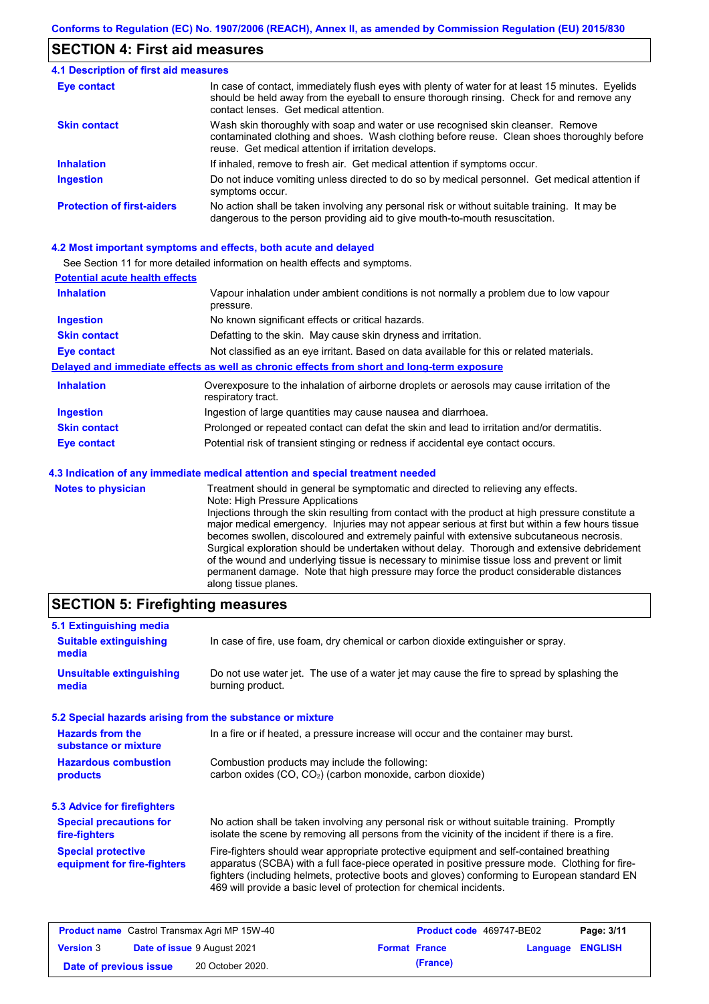#### **SECTION 4: First aid measures**

#### Do not induce vomiting unless directed to do so by medical personnel. Get medical attention if symptoms occur. In case of contact, immediately flush eyes with plenty of water for at least 15 minutes. Eyelids should be held away from the eyeball to ensure thorough rinsing. Check for and remove any contact lenses. Get medical attention. **4.1 Description of first aid measures** If inhaled, remove to fresh air. Get medical attention if symptoms occur. **Ingestion Inhalation Eye contact Protection of first-aiders** No action shall be taken involving any personal risk or without suitable training. It may be dangerous to the person providing aid to give mouth-to-mouth resuscitation. **Skin contact** Wash skin thoroughly with soap and water or use recognised skin cleanser. Remove contaminated clothing and shoes. Wash clothing before reuse. Clean shoes thoroughly before reuse. Get medical attention if irritation develops.

#### **4.2 Most important symptoms and effects, both acute and delayed**

See Section 11 for more detailed information on health effects and symptoms.

| <b>Potential acute health effects</b> |                                                                                                                   |
|---------------------------------------|-------------------------------------------------------------------------------------------------------------------|
| <b>Inhalation</b>                     | Vapour inhalation under ambient conditions is not normally a problem due to low vapour<br>pressure.               |
| <b>Ingestion</b>                      | No known significant effects or critical hazards.                                                                 |
| <b>Skin contact</b>                   | Defatting to the skin. May cause skin dryness and irritation.                                                     |
| <b>Eye contact</b>                    | Not classified as an eye irritant. Based on data available for this or related materials.                         |
|                                       | Delayed and immediate effects as well as chronic effects from short and long-term exposure                        |
| <b>Inhalation</b>                     | Overexposure to the inhalation of airborne droplets or aerosols may cause irritation of the<br>respiratory tract. |
| <b>Ingestion</b>                      | Ingestion of large quantities may cause nausea and diarrhoea.                                                     |
| <b>Skin contact</b>                   | Prolonged or repeated contact can defat the skin and lead to irritation and/or dermatitis.                        |
| Eye contact                           | Potential risk of transient stinging or redness if accidental eye contact occurs.                                 |
|                                       | 4.3 Indication of any immediate medical attention and special treatment needed                                    |
| Notes to physician                    | Treatment should in general he symptomatic and directed to relieving any effects                                  |

**Notes to physician** Treatment should in general be symptomatic and directed to relieving any effects. Note: High Pressure Applications Injections through the skin resulting from contact with the product at high pressure constitute a major medical emergency. Injuries may not appear serious at first but within a few hours tissue becomes swollen, discoloured and extremely painful with extensive subcutaneous necrosis. Surgical exploration should be undertaken without delay. Thorough and extensive debridement of the wound and underlying tissue is necessary to minimise tissue loss and prevent or limit permanent damage. Note that high pressure may force the product considerable distances along tissue planes.

#### **SECTION 5: Firefighting measures**

| 5.1 Extinguishing media                                   |                                                                                                                                                                                                                                                                                                                                                                   |
|-----------------------------------------------------------|-------------------------------------------------------------------------------------------------------------------------------------------------------------------------------------------------------------------------------------------------------------------------------------------------------------------------------------------------------------------|
| <b>Suitable extinguishing</b><br>media                    | In case of fire, use foam, dry chemical or carbon dioxide extinguisher or spray.                                                                                                                                                                                                                                                                                  |
| <b>Unsuitable extinguishing</b><br>media                  | Do not use water jet. The use of a water jet may cause the fire to spread by splashing the<br>burning product.                                                                                                                                                                                                                                                    |
| 5.2 Special hazards arising from the substance or mixture |                                                                                                                                                                                                                                                                                                                                                                   |
| <b>Hazards from the</b><br>substance or mixture           | In a fire or if heated, a pressure increase will occur and the container may burst.                                                                                                                                                                                                                                                                               |
| <b>Hazardous combustion</b><br>products                   | Combustion products may include the following:<br>carbon oxides (CO, CO <sub>2</sub> ) (carbon monoxide, carbon dioxide)                                                                                                                                                                                                                                          |
| 5.3 Advice for firefighters                               |                                                                                                                                                                                                                                                                                                                                                                   |
| <b>Special precautions for</b><br>fire-fighters           | No action shall be taken involving any personal risk or without suitable training. Promptly<br>isolate the scene by removing all persons from the vicinity of the incident if there is a fire.                                                                                                                                                                    |
| <b>Special protective</b><br>equipment for fire-fighters  | Fire-fighters should wear appropriate protective equipment and self-contained breathing<br>apparatus (SCBA) with a full face-piece operated in positive pressure mode. Clothing for fire-<br>fighters (including helmets, protective boots and gloves) conforming to European standard EN<br>469 will provide a basic level of protection for chemical incidents. |

| <b>Product name</b> Castrol Transmax Agri MP 15W-40 |  | <b>Product code</b> 469747-BE02    |  | Page: 3/11           |                         |  |
|-----------------------------------------------------|--|------------------------------------|--|----------------------|-------------------------|--|
| <b>Version 3</b>                                    |  | <b>Date of issue 9 August 2021</b> |  | <b>Format France</b> | <b>Language ENGLISH</b> |  |
| Date of previous issue                              |  | 20 October 2020.                   |  | (France)             |                         |  |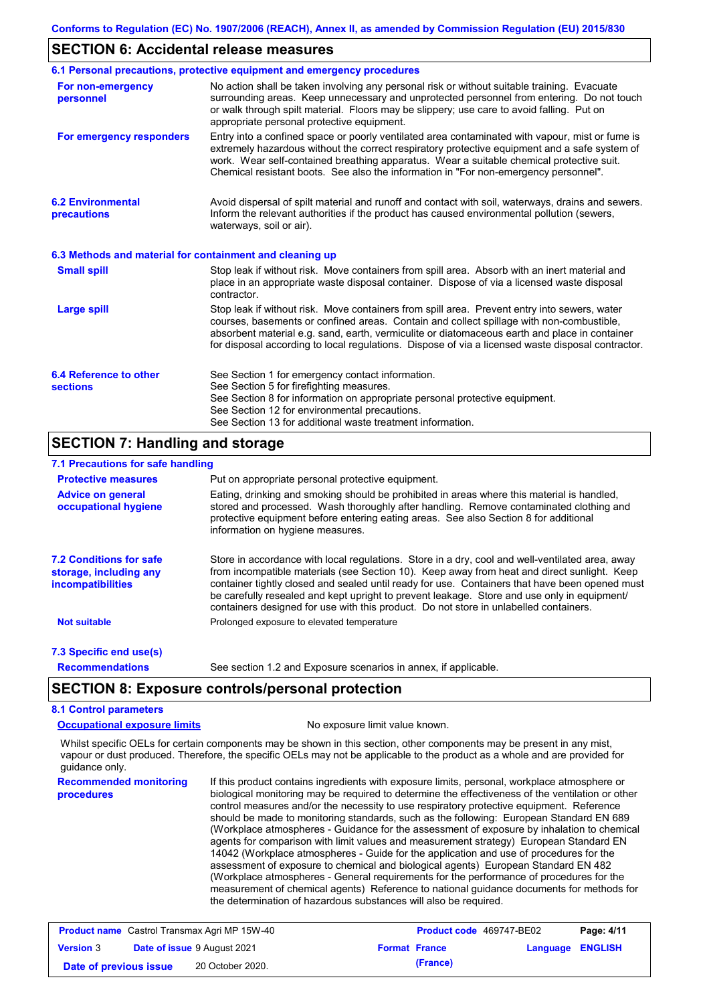#### **SECTION 6: Accidental release measures**

|                                                          | 6.1 Personal precautions, protective equipment and emergency procedures                                                                                                                                                                                                                                                                                                                        |
|----------------------------------------------------------|------------------------------------------------------------------------------------------------------------------------------------------------------------------------------------------------------------------------------------------------------------------------------------------------------------------------------------------------------------------------------------------------|
| For non-emergency<br>personnel                           | No action shall be taken involving any personal risk or without suitable training. Evacuate<br>surrounding areas. Keep unnecessary and unprotected personnel from entering. Do not touch<br>or walk through spilt material. Floors may be slippery; use care to avoid falling. Put on<br>appropriate personal protective equipment.                                                            |
| For emergency responders                                 | Entry into a confined space or poorly ventilated area contaminated with vapour, mist or fume is<br>extremely hazardous without the correct respiratory protective equipment and a safe system of<br>work. Wear self-contained breathing apparatus. Wear a suitable chemical protective suit.<br>Chemical resistant boots. See also the information in "For non-emergency personnel".           |
| <b>6.2 Environmental</b><br>precautions                  | Avoid dispersal of spilt material and runoff and contact with soil, waterways, drains and sewers.<br>Inform the relevant authorities if the product has caused environmental pollution (sewers,<br>waterways, soil or air).                                                                                                                                                                    |
| 6.3 Methods and material for containment and cleaning up |                                                                                                                                                                                                                                                                                                                                                                                                |
| <b>Small spill</b>                                       | Stop leak if without risk. Move containers from spill area. Absorb with an inert material and<br>place in an appropriate waste disposal container. Dispose of via a licensed waste disposal<br>contractor.                                                                                                                                                                                     |
| <b>Large spill</b>                                       | Stop leak if without risk. Move containers from spill area. Prevent entry into sewers, water<br>courses, basements or confined areas. Contain and collect spillage with non-combustible,<br>absorbent material e.g. sand, earth, vermiculite or diatomaceous earth and place in container<br>for disposal according to local regulations. Dispose of via a licensed waste disposal contractor. |
| 6.4 Reference to other<br><b>sections</b>                | See Section 1 for emergency contact information.<br>See Section 5 for firefighting measures.<br>See Section 8 for information on appropriate personal protective equipment.<br>See Section 12 for environmental precautions.<br>See Section 13 for additional waste treatment information.                                                                                                     |

### **SECTION 7: Handling and storage**

### **7.1 Precautions for safe handling**

| <b>Protective measures</b>                                                    | Put on appropriate personal protective equipment.                                                                                                                                                                                                                                                                                                                                                                                                                                        |
|-------------------------------------------------------------------------------|------------------------------------------------------------------------------------------------------------------------------------------------------------------------------------------------------------------------------------------------------------------------------------------------------------------------------------------------------------------------------------------------------------------------------------------------------------------------------------------|
| <b>Advice on general</b><br>occupational hygiene                              | Eating, drinking and smoking should be prohibited in areas where this material is handled,<br>stored and processed. Wash thoroughly after handling. Remove contaminated clothing and<br>protective equipment before entering eating areas. See also Section 8 for additional<br>information on hygiene measures.                                                                                                                                                                         |
| <b>7.2 Conditions for safe</b><br>storage, including any<br>incompatibilities | Store in accordance with local requlations. Store in a dry, cool and well-ventilated area, away<br>from incompatible materials (see Section 10). Keep away from heat and direct sunlight. Keep<br>container tightly closed and sealed until ready for use. Containers that have been opened must<br>be carefully resealed and kept upright to prevent leakage. Store and use only in equipment/<br>containers designed for use with this product. Do not store in unlabelled containers. |
| <b>Not suitable</b>                                                           | Prolonged exposure to elevated temperature                                                                                                                                                                                                                                                                                                                                                                                                                                               |
| 7.3 Specific end use(s)                                                       |                                                                                                                                                                                                                                                                                                                                                                                                                                                                                          |
| <b>Recommendations</b>                                                        | See section 1.2 and Exposure scenarios in annex, if applicable.                                                                                                                                                                                                                                                                                                                                                                                                                          |

### **SECTION 8: Exposure controls/personal protection**

### **8.1 Control parameters**

**Occupational exposure limits** No exposure limit value known.

Whilst specific OELs for certain components may be shown in this section, other components may be present in any mist, vapour or dust produced. Therefore, the specific OELs may not be applicable to the product as a whole and are provided for guidance only.

**Recommended monitoring procedures** If this product contains ingredients with exposure limits, personal, workplace atmosphere or biological monitoring may be required to determine the effectiveness of the ventilation or other control measures and/or the necessity to use respiratory protective equipment. Reference should be made to monitoring standards, such as the following: European Standard EN 689 (Workplace atmospheres - Guidance for the assessment of exposure by inhalation to chemical agents for comparison with limit values and measurement strategy) European Standard EN 14042 (Workplace atmospheres - Guide for the application and use of procedures for the assessment of exposure to chemical and biological agents) European Standard EN 482 (Workplace atmospheres - General requirements for the performance of procedures for the measurement of chemical agents) Reference to national guidance documents for methods for the determination of hazardous substances will also be required.

| <b>Product name</b> Castrol Transmax Agri MP 15W-40 |  | <b>Product code</b> 469747-BE02    |  | Page: 4/11           |                         |  |
|-----------------------------------------------------|--|------------------------------------|--|----------------------|-------------------------|--|
| <b>Version 3</b>                                    |  | <b>Date of issue 9 August 2021</b> |  | <b>Format France</b> | <b>Language ENGLISH</b> |  |
| Date of previous issue                              |  | 20 October 2020.                   |  | (France)             |                         |  |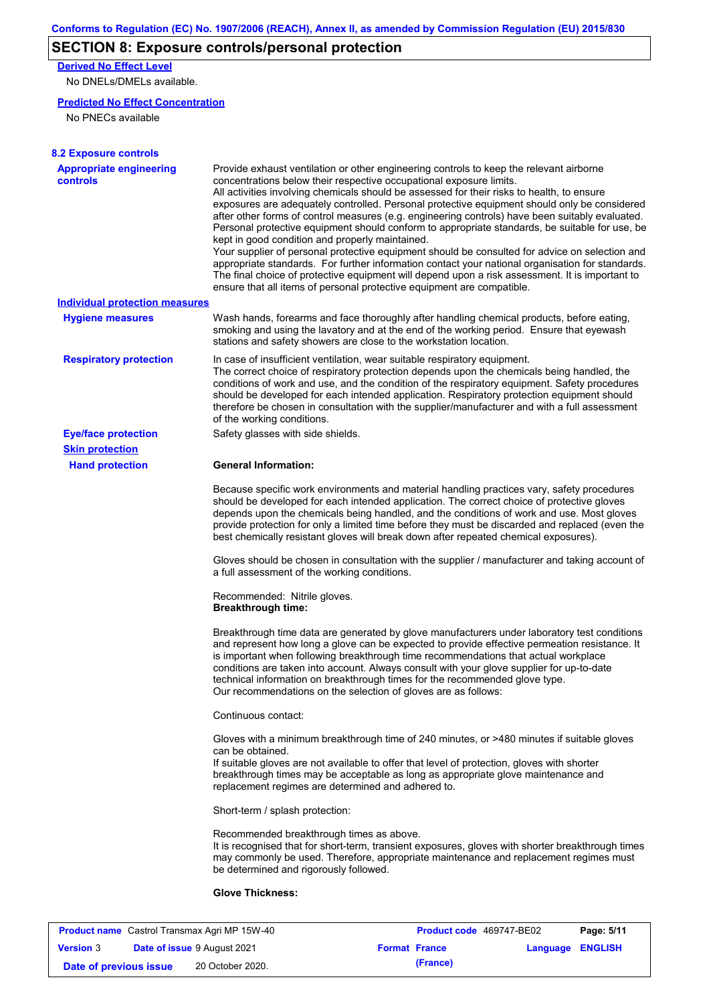# **SECTION 8: Exposure controls/personal protection**

**Derived No Effect Level**

No DNELs/DMELs available.

### **Predicted No Effect Concentration**

No PNECs available

| <b>Appropriate engineering</b><br><b>controls</b>    | Provide exhaust ventilation or other engineering controls to keep the relevant airborne<br>concentrations below their respective occupational exposure limits.<br>All activities involving chemicals should be assessed for their risks to health, to ensure<br>exposures are adequately controlled. Personal protective equipment should only be considered<br>after other forms of control measures (e.g. engineering controls) have been suitably evaluated.<br>Personal protective equipment should conform to appropriate standards, be suitable for use, be<br>kept in good condition and properly maintained.<br>Your supplier of personal protective equipment should be consulted for advice on selection and<br>appropriate standards. For further information contact your national organisation for standards.<br>The final choice of protective equipment will depend upon a risk assessment. It is important to<br>ensure that all items of personal protective equipment are compatible. |
|------------------------------------------------------|---------------------------------------------------------------------------------------------------------------------------------------------------------------------------------------------------------------------------------------------------------------------------------------------------------------------------------------------------------------------------------------------------------------------------------------------------------------------------------------------------------------------------------------------------------------------------------------------------------------------------------------------------------------------------------------------------------------------------------------------------------------------------------------------------------------------------------------------------------------------------------------------------------------------------------------------------------------------------------------------------------|
| <b>Individual protection measures</b>                |                                                                                                                                                                                                                                                                                                                                                                                                                                                                                                                                                                                                                                                                                                                                                                                                                                                                                                                                                                                                         |
| <b>Hygiene measures</b>                              | Wash hands, forearms and face thoroughly after handling chemical products, before eating,<br>smoking and using the lavatory and at the end of the working period. Ensure that eyewash<br>stations and safety showers are close to the workstation location.                                                                                                                                                                                                                                                                                                                                                                                                                                                                                                                                                                                                                                                                                                                                             |
| <b>Respiratory protection</b>                        | In case of insufficient ventilation, wear suitable respiratory equipment.<br>The correct choice of respiratory protection depends upon the chemicals being handled, the<br>conditions of work and use, and the condition of the respiratory equipment. Safety procedures<br>should be developed for each intended application. Respiratory protection equipment should<br>therefore be chosen in consultation with the supplier/manufacturer and with a full assessment<br>of the working conditions.                                                                                                                                                                                                                                                                                                                                                                                                                                                                                                   |
| <b>Eye/face protection</b><br><b>Skin protection</b> | Safety glasses with side shields.                                                                                                                                                                                                                                                                                                                                                                                                                                                                                                                                                                                                                                                                                                                                                                                                                                                                                                                                                                       |
| <b>Hand protection</b>                               | <b>General Information:</b>                                                                                                                                                                                                                                                                                                                                                                                                                                                                                                                                                                                                                                                                                                                                                                                                                                                                                                                                                                             |
|                                                      | Because specific work environments and material handling practices vary, safety procedures<br>should be developed for each intended application. The correct choice of protective gloves<br>depends upon the chemicals being handled, and the conditions of work and use. Most gloves<br>provide protection for only a limited time before they must be discarded and replaced (even the<br>best chemically resistant gloves will break down after repeated chemical exposures).                                                                                                                                                                                                                                                                                                                                                                                                                                                                                                                        |
|                                                      | Gloves should be chosen in consultation with the supplier / manufacturer and taking account of<br>a full assessment of the working conditions.                                                                                                                                                                                                                                                                                                                                                                                                                                                                                                                                                                                                                                                                                                                                                                                                                                                          |
|                                                      | Recommended: Nitrile gloves.<br><b>Breakthrough time:</b>                                                                                                                                                                                                                                                                                                                                                                                                                                                                                                                                                                                                                                                                                                                                                                                                                                                                                                                                               |
|                                                      | Breakthrough time data are generated by glove manufacturers under laboratory test conditions<br>and represent how long a glove can be expected to provide effective permeation resistance. It<br>is important when following breakthrough time recommendations that actual workplace<br>conditions are taken into account. Always consult with your glove supplier for up-to-date<br>technical information on breakthrough times for the recommended glove type.<br>Our recommendations on the selection of gloves are as follows:                                                                                                                                                                                                                                                                                                                                                                                                                                                                      |
|                                                      | Continuous contact:                                                                                                                                                                                                                                                                                                                                                                                                                                                                                                                                                                                                                                                                                                                                                                                                                                                                                                                                                                                     |
|                                                      | Gloves with a minimum breakthrough time of 240 minutes, or >480 minutes if suitable gloves<br>can be obtained.<br>If suitable gloves are not available to offer that level of protection, gloves with shorter<br>breakthrough times may be acceptable as long as appropriate glove maintenance and<br>replacement regimes are determined and adhered to.                                                                                                                                                                                                                                                                                                                                                                                                                                                                                                                                                                                                                                                |
|                                                      | Short-term / splash protection:                                                                                                                                                                                                                                                                                                                                                                                                                                                                                                                                                                                                                                                                                                                                                                                                                                                                                                                                                                         |
|                                                      | Recommended breakthrough times as above.<br>It is recognised that for short-term, transient exposures, gloves with shorter breakthrough times<br>may commonly be used. Therefore, appropriate maintenance and replacement regimes must<br>be determined and rigorously followed.                                                                                                                                                                                                                                                                                                                                                                                                                                                                                                                                                                                                                                                                                                                        |
|                                                      |                                                                                                                                                                                                                                                                                                                                                                                                                                                                                                                                                                                                                                                                                                                                                                                                                                                                                                                                                                                                         |

| <b>Product name</b> Castrol Transmax Agri MP 15W-40 |  | <b>Product code</b> 469747-BE02    |                      | Page: 5/11              |  |
|-----------------------------------------------------|--|------------------------------------|----------------------|-------------------------|--|
| <b>Version 3</b>                                    |  | <b>Date of issue 9 August 2021</b> | <b>Format France</b> | <b>Language ENGLISH</b> |  |
| Date of previous issue                              |  | 20 October 2020.                   | (France)             |                         |  |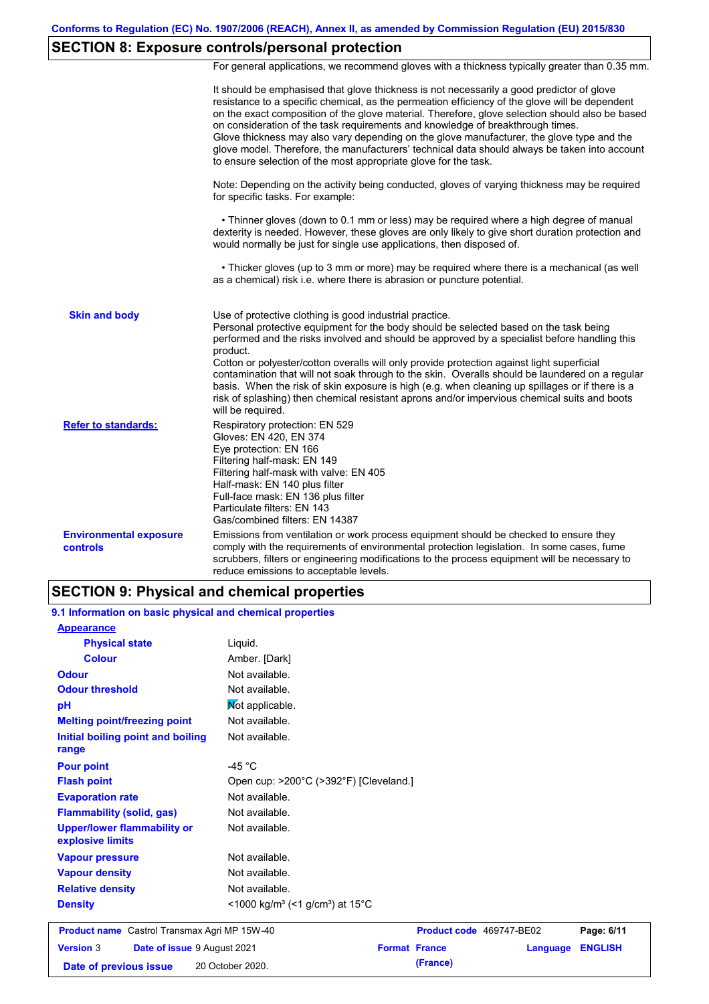# **SECTION 8: Exposure controls/personal protection**

For general applications, we recommend gloves with a thickness typically greater than 0.35 mm.

|                                           | It should be emphasised that glove thickness is not necessarily a good predictor of glove<br>resistance to a specific chemical, as the permeation efficiency of the glove will be dependent<br>on the exact composition of the glove material. Therefore, glove selection should also be based<br>on consideration of the task requirements and knowledge of breakthrough times.<br>Glove thickness may also vary depending on the glove manufacturer, the glove type and the<br>glove model. Therefore, the manufacturers' technical data should always be taken into account<br>to ensure selection of the most appropriate glove for the task.                                     |
|-------------------------------------------|---------------------------------------------------------------------------------------------------------------------------------------------------------------------------------------------------------------------------------------------------------------------------------------------------------------------------------------------------------------------------------------------------------------------------------------------------------------------------------------------------------------------------------------------------------------------------------------------------------------------------------------------------------------------------------------|
|                                           | Note: Depending on the activity being conducted, gloves of varying thickness may be required<br>for specific tasks. For example:                                                                                                                                                                                                                                                                                                                                                                                                                                                                                                                                                      |
|                                           | • Thinner gloves (down to 0.1 mm or less) may be required where a high degree of manual<br>dexterity is needed. However, these gloves are only likely to give short duration protection and<br>would normally be just for single use applications, then disposed of.                                                                                                                                                                                                                                                                                                                                                                                                                  |
|                                           | • Thicker gloves (up to 3 mm or more) may be required where there is a mechanical (as well<br>as a chemical) risk i.e. where there is abrasion or puncture potential.                                                                                                                                                                                                                                                                                                                                                                                                                                                                                                                 |
| <b>Skin and body</b>                      | Use of protective clothing is good industrial practice.<br>Personal protective equipment for the body should be selected based on the task being<br>performed and the risks involved and should be approved by a specialist before handling this<br>product.<br>Cotton or polyester/cotton overalls will only provide protection against light superficial<br>contamination that will not soak through to the skin. Overalls should be laundered on a regular<br>basis. When the risk of skin exposure is high (e.g. when cleaning up spillages or if there is a<br>risk of splashing) then chemical resistant aprons and/or impervious chemical suits and boots<br>will be required. |
| <b>Refer to standards:</b>                | Respiratory protection: EN 529<br>Gloves: EN 420, EN 374<br>Eye protection: EN 166<br>Filtering half-mask: EN 149<br>Filtering half-mask with valve: EN 405<br>Half-mask: EN 140 plus filter<br>Full-face mask: EN 136 plus filter<br>Particulate filters: EN 143<br>Gas/combined filters: EN 14387                                                                                                                                                                                                                                                                                                                                                                                   |
| <b>Environmental exposure</b><br>controls | Emissions from ventilation or work process equipment should be checked to ensure they<br>comply with the requirements of environmental protection legislation. In some cases, fume<br>scrubbers, filters or engineering modifications to the process equipment will be necessary to<br>reduce emissions to acceptable levels.                                                                                                                                                                                                                                                                                                                                                         |

### **SECTION 9: Physical and chemical properties**

| 9.1 Information on basic physical and chemical properties |                                                                      |                          |          |                |
|-----------------------------------------------------------|----------------------------------------------------------------------|--------------------------|----------|----------------|
| <b>Appearance</b>                                         |                                                                      |                          |          |                |
| <b>Physical state</b>                                     | Liguid.                                                              |                          |          |                |
| <b>Colour</b>                                             | Amber. [Dark]                                                        |                          |          |                |
| <b>Odour</b>                                              | Not available.                                                       |                          |          |                |
| <b>Odour threshold</b>                                    | Not available.                                                       |                          |          |                |
| pH                                                        | Not applicable.                                                      |                          |          |                |
| <b>Melting point/freezing point</b>                       | Not available.                                                       |                          |          |                |
| Initial boiling point and boiling<br>range                | Not available.                                                       |                          |          |                |
| <b>Pour point</b>                                         | -45 $^{\circ}$ C                                                     |                          |          |                |
| <b>Flash point</b>                                        | Open cup: >200°C (>392°F) [Cleveland.]                               |                          |          |                |
| <b>Evaporation rate</b>                                   | Not available.                                                       |                          |          |                |
| <b>Flammability (solid, gas)</b>                          | Not available.                                                       |                          |          |                |
| <b>Upper/lower flammability or</b><br>explosive limits    | Not available.                                                       |                          |          |                |
| <b>Vapour pressure</b>                                    | Not available.                                                       |                          |          |                |
| <b>Vapour density</b>                                     | Not available.                                                       |                          |          |                |
| <b>Relative density</b>                                   | Not available.                                                       |                          |          |                |
| <b>Density</b>                                            | <1000 kg/m <sup>3</sup> (<1 g/cm <sup>3</sup> ) at 15 <sup>°</sup> C |                          |          |                |
| <b>Product name</b> Castrol Transmax Agri MP 15W-40       |                                                                      | Product code 469747-BE02 |          | Page: 6/11     |
| <b>Version 3</b><br>Date of issue 9 August 2021           |                                                                      | <b>Format France</b>     | Language | <b>ENGLISH</b> |
| Date of previous issue                                    | 20 October 2020.                                                     | (France)                 |          |                |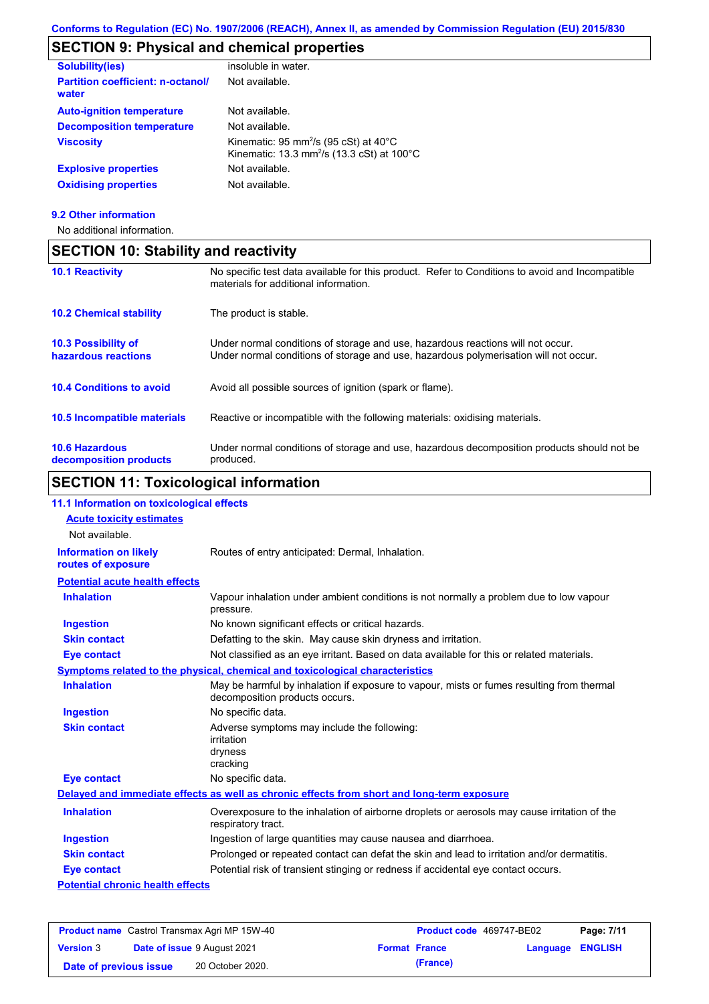### **SECTION 9: Physical and chemical properties**

| <b>Solubility(ies)</b>                            | insoluble in water.                                                                                                             |
|---------------------------------------------------|---------------------------------------------------------------------------------------------------------------------------------|
| <b>Partition coefficient: n-octanol/</b><br>water | Not available.                                                                                                                  |
| <b>Auto-ignition temperature</b>                  | Not available.                                                                                                                  |
| <b>Decomposition temperature</b>                  | Not available.                                                                                                                  |
| <b>Viscosity</b>                                  | Kinematic: 95 mm <sup>2</sup> /s (95 cSt) at $40^{\circ}$ C<br>Kinematic: 13.3 mm <sup>2</sup> /s (13.3 cSt) at $100^{\circ}$ C |
| <b>Explosive properties</b>                       | Not available.                                                                                                                  |
| <b>Oxidising properties</b>                       | Not available.                                                                                                                  |

#### **9.2 Other information**

No additional information.

**decomposition products**

### **10.6 Hazardous 10.4 Conditions to avoid** Avoid all possible sources of ignition (spark or flame). Under normal conditions of storage and use, hazardous decomposition products should not be **10.2 Chemical stability** The product is stable. **10.5 Incompatible materials 10.3 Possibility of hazardous reactions** Under normal conditions of storage and use, hazardous reactions will not occur. Under normal conditions of storage and use, hazardous polymerisation will not occur. **SECTION 10: Stability and reactivity 10.1 Reactivity** No specific test data available for this product. Refer to Conditions to avoid and Incompatible materials for additional information. Reactive or incompatible with the following materials: oxidising materials.

### **SECTION 11: Toxicological information**

produced.

#### **Potential chronic health effects Potential acute health effects Inhalation** Vapour inhalation under ambient conditions is not normally a problem due to low vapour pressure. **Ingestion** No known significant effects or critical hazards. **Skin contact** Defatting to the skin. May cause skin dryness and irritation. **Eye contact** Not classified as an eye irritant. Based on data available for this or related materials. **Symptoms related to the physical, chemical and toxicological characteristics Skin contact Ingestion Inhalation** May be harmful by inhalation if exposure to vapour, mists or fumes resulting from thermal decomposition products occurs. No specific data. Adverse symptoms may include the following: irritation dryness cracking **Eye contact** No specific data. Routes of entry anticipated: Dermal, Inhalation. **11.1 Information on toxicological effects Information on likely routes of exposure Delayed and immediate effects as well as chronic effects from short and long-term exposure Inhalation Ingestion Skin contact Eye contact** Overexposure to the inhalation of airborne droplets or aerosols may cause irritation of the respiratory tract. Ingestion of large quantities may cause nausea and diarrhoea. Prolonged or repeated contact can defat the skin and lead to irritation and/or dermatitis. Potential risk of transient stinging or redness if accidental eye contact occurs. **Acute toxicity estimates** Not available.

| <b>Product name</b> Castrol Transmax Agri MP 15W-40 |                                    |                  | Product code 469747-BE02 | Page: 7/11           |                         |  |
|-----------------------------------------------------|------------------------------------|------------------|--------------------------|----------------------|-------------------------|--|
| <b>Version 3</b>                                    | <b>Date of issue 9 August 2021</b> |                  |                          | <b>Format France</b> | <b>Language ENGLISH</b> |  |
| Date of previous issue                              |                                    | 20 October 2020. |                          | (France)             |                         |  |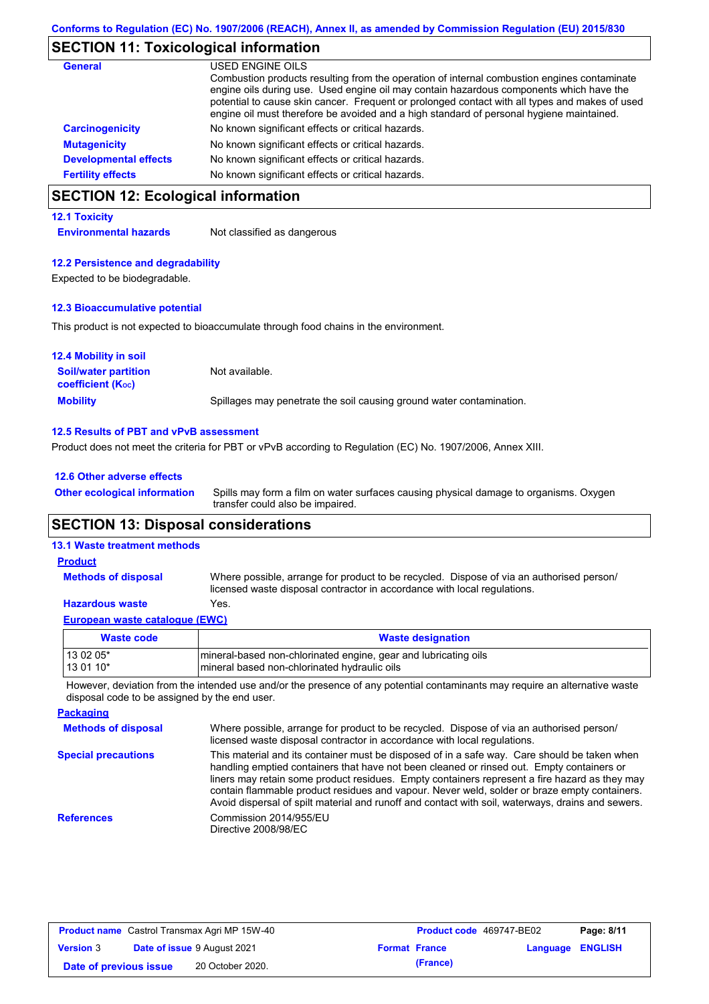### **SECTION 11: Toxicological information**

| <b>General</b>               | USED ENGINE OILS<br>Combustion products resulting from the operation of internal combustion engines contaminate<br>engine oils during use. Used engine oil may contain hazardous components which have the<br>potential to cause skin cancer. Frequent or prolonged contact with all types and makes of used<br>engine oil must therefore be avoided and a high standard of personal hygiene maintained. |
|------------------------------|----------------------------------------------------------------------------------------------------------------------------------------------------------------------------------------------------------------------------------------------------------------------------------------------------------------------------------------------------------------------------------------------------------|
| <b>Carcinogenicity</b>       | No known significant effects or critical hazards.                                                                                                                                                                                                                                                                                                                                                        |
| <b>Mutagenicity</b>          | No known significant effects or critical hazards.                                                                                                                                                                                                                                                                                                                                                        |
| <b>Developmental effects</b> | No known significant effects or critical hazards.                                                                                                                                                                                                                                                                                                                                                        |
| <b>Fertility effects</b>     | No known significant effects or critical hazards.                                                                                                                                                                                                                                                                                                                                                        |

## **SECTION 12: Ecological information**

#### **12.1 Toxicity**

**Environmental hazards** Not classified as dangerous

#### **12.2 Persistence and degradability**

Expected to be biodegradable.

#### **12.3 Bioaccumulative potential**

This product is not expected to bioaccumulate through food chains in the environment.

| <b>12.4 Mobility in soil</b>                            |                                                                      |
|---------------------------------------------------------|----------------------------------------------------------------------|
| <b>Soil/water partition</b><br><b>coefficient (Koc)</b> | Not available.                                                       |
| <b>Mobility</b>                                         | Spillages may penetrate the soil causing ground water contamination. |

#### **12.5 Results of PBT and vPvB assessment**

Product does not meet the criteria for PBT or vPvB according to Regulation (EC) No. 1907/2006, Annex XIII.

| 12.6 Other adverse effects          |    |
|-------------------------------------|----|
| <b>Other ecological information</b> | Sp |

Spills may form a film on water surfaces causing physical damage to organisms. Oxygen transfer could also be impaired.

### **SECTION 13: Disposal considerations**

#### **13.1 Waste treatment methods**

Where possible, arrange for product to be recycled. Dispose of via an authorised person/ **Methods of disposal Product**

licensed waste disposal contractor in accordance with local regulations.

#### **Hazardous waste** Yes.

| European waste catalogue (EWC) |  |
|--------------------------------|--|
| Mante ande                     |  |

| Waste code | <b>Waste designation</b>                                        |
|------------|-----------------------------------------------------------------|
| 13 02 05*  | mineral-based non-chlorinated engine, gear and lubricating oils |
| $130110*$  | Imineral based non-chlorinated hydraulic oils                   |

However, deviation from the intended use and/or the presence of any potential contaminants may require an alternative waste disposal code to be assigned by the end user.

| <b>Packaging</b>           |                                                                                                                                                                                                                                                                                                                                                                                                                                                                                                 |
|----------------------------|-------------------------------------------------------------------------------------------------------------------------------------------------------------------------------------------------------------------------------------------------------------------------------------------------------------------------------------------------------------------------------------------------------------------------------------------------------------------------------------------------|
| <b>Methods of disposal</b> | Where possible, arrange for product to be recycled. Dispose of via an authorised person/<br>licensed waste disposal contractor in accordance with local regulations.                                                                                                                                                                                                                                                                                                                            |
| <b>Special precautions</b> | This material and its container must be disposed of in a safe way. Care should be taken when<br>handling emptied containers that have not been cleaned or rinsed out. Empty containers or<br>liners may retain some product residues. Empty containers represent a fire hazard as they may<br>contain flammable product residues and vapour. Never weld, solder or braze empty containers.<br>Avoid dispersal of spilt material and runoff and contact with soil, waterways, drains and sewers. |
| <b>References</b>          | Commission 2014/955/EU<br>Directive 2008/98/EC                                                                                                                                                                                                                                                                                                                                                                                                                                                  |

| <b>Product name</b> Castrol Transmax Agri MP 15W-40 |  |                             | <b>Product code</b> 469747-BE02 |                      | Page: 8/11              |  |
|-----------------------------------------------------|--|-----------------------------|---------------------------------|----------------------|-------------------------|--|
| <b>Version 3</b>                                    |  | Date of issue 9 August 2021 |                                 | <b>Format France</b> | <b>Language ENGLISH</b> |  |
| Date of previous issue                              |  | 20 October 2020.            |                                 | (France)             |                         |  |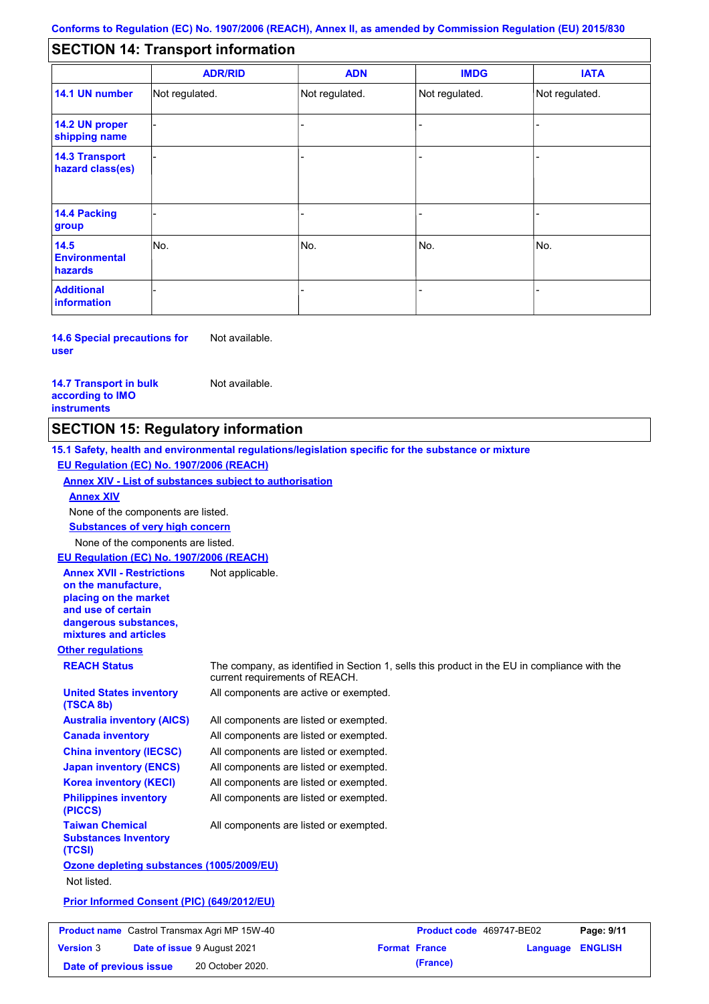#### - - - - - - - - - Not regulated. Not regulated. Not regulated. - - - **SECTION 14: Transport information ADR/RID IMDG IATA 14.1 UN number 14.2 UN proper shipping name 14.3 Transport hazard class(es) 14.4 Packing group ADN Additional information 14.5 Environmental hazards** No. 1980 | No. 1980 | No. 1980 | No. 1980 | No. 1980 | No. 1980 | No. 1980 | No. 1980 | No. 1980 | No. 1980 | Not regulated. - -<br>No. - -

**14.6 Special precautions for user** Not available.

**14.7 Transport in bulk according to IMO instruments**

Not available.

**Date of previous issue (France)** 20 October 2020.

### **SECTION 15: Regulatory information**

**Other regulations REACH Status** The company, as identified in Section 1, sells this product in the EU in compliance with the current requirements of REACH. **15.1 Safety, health and environmental regulations/legislation specific for the substance or mixture EU Regulation (EC) No. 1907/2006 (REACH) Annex XIV - List of substances subject to authorisation Substances of very high concern** None of the components are listed. All components are listed or exempted. All components are listed or exempted. All components are listed or exempted. All components are listed or exempted. All components are active or exempted. All components are listed or exempted. All components are listed or exempted. **United States inventory (TSCA 8b) Australia inventory (AICS) Canada inventory China inventory (IECSC) Japan inventory (ENCS) Korea inventory (KECI) Philippines inventory (PICCS) Taiwan Chemical Substances Inventory (TCSI)** All components are listed or exempted. **Ozone depleting substances (1005/2009/EU)** Not listed. **Prior Informed Consent (PIC) (649/2012/EU)** None of the components are listed. **Annex XIV EU Regulation (EC) No. 1907/2006 (REACH) Annex XVII - Restrictions on the manufacture, placing on the market and use of certain dangerous substances, mixtures and articles** Not applicable. **Product name** Castrol Transmax Agri MP 15W-40 **Product Code** 469747-BE02 **Page: 9/11 Version** 3 **Date of issue** 9 August 2021 **Format France Language ENGLISH**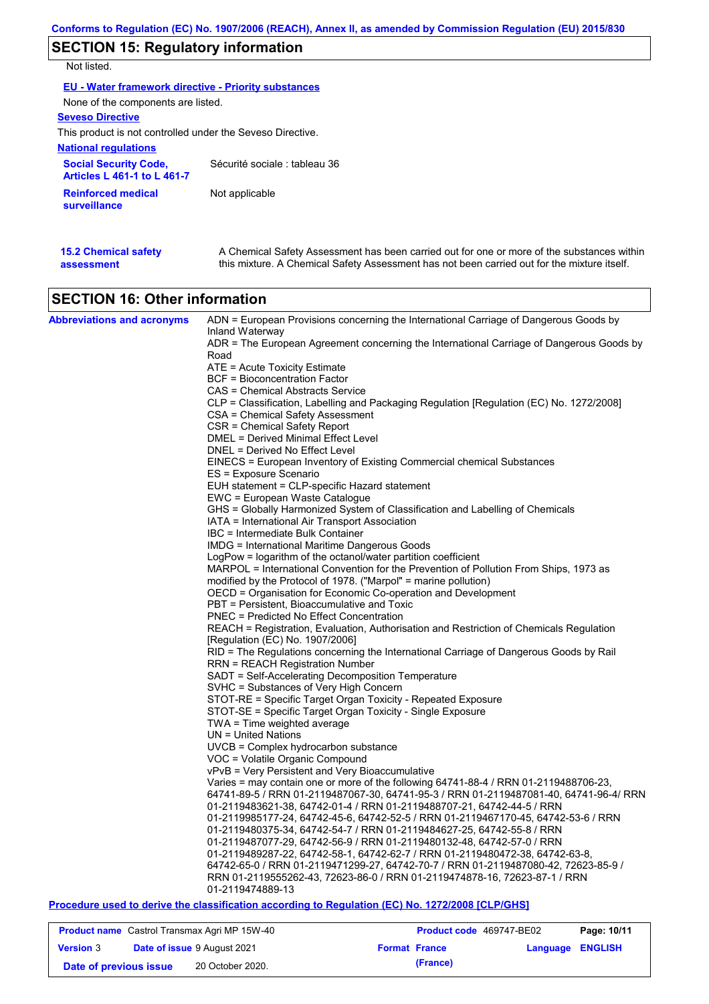# **SECTION 15: Regulatory information**

Not listed.

| <b>EU - Water framework directive - Priority substances</b>        |                               |  |  |  |  |
|--------------------------------------------------------------------|-------------------------------|--|--|--|--|
| None of the components are listed.                                 |                               |  |  |  |  |
| <b>Seveso Directive</b>                                            |                               |  |  |  |  |
| This product is not controlled under the Seveso Directive.         |                               |  |  |  |  |
| <b>National regulations</b>                                        |                               |  |  |  |  |
| <b>Social Security Code,</b><br><b>Articles L 461-1 to L 461-7</b> | Sécurité sociale : tableau 36 |  |  |  |  |
| <b>Reinforced medical</b><br>surveillance                          | Not applicable                |  |  |  |  |
|                                                                    |                               |  |  |  |  |

| <b>15.2 Chemical safety</b> | A Chemical Safety Assessment has been carried out for one or more of the substances within  |
|-----------------------------|---------------------------------------------------------------------------------------------|
| assessment                  | this mixture. A Chemical Safety Assessment has not been carried out for the mixture itself. |

# **SECTION 16: Other information**

| <b>Abbreviations and acronyms</b> | ADN = European Provisions concerning the International Carriage of Dangerous Goods by                                                                           |
|-----------------------------------|-----------------------------------------------------------------------------------------------------------------------------------------------------------------|
|                                   | Inland Waterway<br>ADR = The European Agreement concerning the International Carriage of Dangerous Goods by                                                     |
|                                   | Road                                                                                                                                                            |
|                                   | ATE = Acute Toxicity Estimate                                                                                                                                   |
|                                   | BCF = Bioconcentration Factor                                                                                                                                   |
|                                   | CAS = Chemical Abstracts Service                                                                                                                                |
|                                   | CLP = Classification, Labelling and Packaging Regulation [Regulation (EC) No. 1272/2008]                                                                        |
|                                   | CSA = Chemical Safety Assessment<br>CSR = Chemical Safety Report                                                                                                |
|                                   | DMEL = Derived Minimal Effect Level                                                                                                                             |
|                                   | DNEL = Derived No Effect Level                                                                                                                                  |
|                                   | EINECS = European Inventory of Existing Commercial chemical Substances                                                                                          |
|                                   | ES = Exposure Scenario                                                                                                                                          |
|                                   | EUH statement = CLP-specific Hazard statement                                                                                                                   |
|                                   | EWC = European Waste Catalogue                                                                                                                                  |
|                                   | GHS = Globally Harmonized System of Classification and Labelling of Chemicals                                                                                   |
|                                   | IATA = International Air Transport Association                                                                                                                  |
|                                   | IBC = Intermediate Bulk Container                                                                                                                               |
|                                   | <b>IMDG</b> = International Maritime Dangerous Goods                                                                                                            |
|                                   | LogPow = logarithm of the octanol/water partition coefficient                                                                                                   |
|                                   | MARPOL = International Convention for the Prevention of Pollution From Ships, 1973 as<br>modified by the Protocol of 1978. ("Marpol" = marine pollution)        |
|                                   | OECD = Organisation for Economic Co-operation and Development                                                                                                   |
|                                   | PBT = Persistent, Bioaccumulative and Toxic                                                                                                                     |
|                                   | PNEC = Predicted No Effect Concentration                                                                                                                        |
|                                   | REACH = Registration, Evaluation, Authorisation and Restriction of Chemicals Regulation                                                                         |
|                                   | [Regulation (EC) No. 1907/2006]                                                                                                                                 |
|                                   | RID = The Regulations concerning the International Carriage of Dangerous Goods by Rail                                                                          |
|                                   | <b>RRN = REACH Registration Number</b>                                                                                                                          |
|                                   | SADT = Self-Accelerating Decomposition Temperature                                                                                                              |
|                                   | SVHC = Substances of Very High Concern                                                                                                                          |
|                                   | STOT-RE = Specific Target Organ Toxicity - Repeated Exposure                                                                                                    |
|                                   | STOT-SE = Specific Target Organ Toxicity - Single Exposure                                                                                                      |
|                                   | $TWA = Time$ weighted average<br>$UN = United Nations$                                                                                                          |
|                                   | $UVCB = Complex\ hydrocarbon\ substance$                                                                                                                        |
|                                   | VOC = Volatile Organic Compound                                                                                                                                 |
|                                   | vPvB = Very Persistent and Very Bioaccumulative                                                                                                                 |
|                                   | Varies = may contain one or more of the following 64741-88-4 / RRN 01-2119488706-23,                                                                            |
|                                   | 64741-89-5 / RRN 01-2119487067-30, 64741-95-3 / RRN 01-2119487081-40, 64741-96-4/ RRN                                                                           |
|                                   | 01-2119483621-38, 64742-01-4 / RRN 01-2119488707-21, 64742-44-5 / RRN                                                                                           |
|                                   | 01-2119985177-24, 64742-45-6, 64742-52-5 / RRN 01-2119467170-45, 64742-53-6 / RRN                                                                               |
|                                   | 01-2119480375-34, 64742-54-7 / RRN 01-2119484627-25, 64742-55-8 / RRN                                                                                           |
|                                   | 01-2119487077-29, 64742-56-9 / RRN 01-2119480132-48, 64742-57-0 / RRN                                                                                           |
|                                   | 01-2119489287-22, 64742-58-1, 64742-62-7 / RRN 01-2119480472-38, 64742-63-8,                                                                                    |
|                                   | 64742-65-0 / RRN 01-2119471299-27, 64742-70-7 / RRN 01-2119487080-42, 72623-85-9 /<br>RRN 01-2119555262-43, 72623-86-0 / RRN 01-2119474878-16, 72623-87-1 / RRN |
|                                   | 01-2119474889-13                                                                                                                                                |
|                                   | Procedure used to derive the classification according to Regulation (EC) No. 1272/2008 [CLP/GHS]                                                                |

**Product name** Castrol Transmax Agri MP 15W-40 **Product Code** 469747-BE02 **Page: 10/11** 

| <b>Date of issue 9 August 2021</b><br><b>Version 3</b><br><b>Language ENGLISH</b><br><b>Format France</b><br>(France)<br>20 October 2020.<br>Date of previous issue |  |  |  |
|---------------------------------------------------------------------------------------------------------------------------------------------------------------------|--|--|--|
|                                                                                                                                                                     |  |  |  |
|                                                                                                                                                                     |  |  |  |